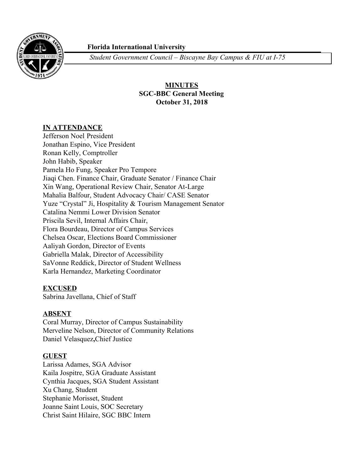

 **Florida International University**

*Student Government Council – Biscayne Bay Campus & FIU at I-75*

## **MINUTES SGC-BBC General Meeting October 31, 2018**

### **IN ATTENDANCE**

Jefferson Noel , President Jonathan Espino, Vice President Ronan Kelly, Comptroller John Habib, Speaker Pamela Ho Fung, Speaker Pro Tempore Jiaqi Chen. Finance Chair, Graduate Senator / Finance Chair Xin Wang, Operational Review Chair, Senator At-Large Mahalia Balfour, Student Advocacy Chair/ CASE Senator Yuze "Crystal" Ji, Hospitality & Tourism Management Senator Catalina Nemmi Lower Division Senator Priscila Sevil, Internal Affairs Chair, Flora Bourdeau, Director of Campus Services Chelsea Oscar, Elections Board Commissioner Aaliyah Gordon, Director of Events Gabriella Malak, Director of Accessibility SaVonne Reddick, Director of Student Wellness Karla Hernandez, Marketing Coordinator

### **EXCUSED**

Sabrina Javellana, Chief of Staff

### **ABSENT**

Coral Murray, Director of Campus Sustainability Merveline Nelson, Director of Community Relations Daniel Velasquez**,**Chief Justice

### **GUEST**

Larissa Adames, SGA Advisor Kaila Jospitre, SGA Graduate Assistant Cynthia Jacques, SGA Student Assistant Xu Chang, Student Stephanie Morisset, Student Joanne Saint Louis, SOC Secretary Christ Saint Hilaire, SGC BBC Intern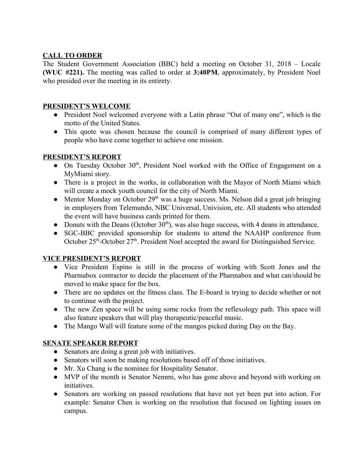## **CALL TO ORDER**

The Student Government Association (BBC) held a meeting on October 31, 2018 – Locale **(WUC #221).** The meeting was called to order at **3:40PM**, approximately, by President Noel who presided over the meeting in its entirety.

### **PRESIDENT'S WELCOME**

- President Noel welcomed everyone with a Latin phrase "Out of many one", which is the motto of the United States.
- This quote was chosen because the council is comprised of many different types of people who have come together to achieve one mission.

## **PRESIDENT'S REPORT**

- On Tuesday October 30<sup>th</sup>, President Noel worked with the Office of Engagement on a MyMiami story.
- There is a project in the works, in collaboration with the Mayor of North Miami which will create a mock youth council for the city of North Miami.
- $\bullet$  Mentor Monday on October 29<sup>th</sup> was a huge success. Ms. Nelson did a great job bringing in employers from Telemundo, NBC Universal, Univision, etc. All students who attended the event will have business cards printed for them.
- Donuts with the Deans (October  $30<sup>th</sup>$ ), was also huge success, with 4 deans in attendance.
- SGC-BBC provided sponsorship for students to attend the NAAHP conference from October  $25<sup>th</sup>$ -October  $27<sup>th</sup>$ . President Noel accepted the award for Distinguished Service.

## **VICE PRESIDENT'S REPORT**

- **●** Vice President Espino is still in the process of working with Scott Jones and the Pharmabox contractor to decide the placement of the Pharmabox and what can/should be moved to make space for the box.
- **●** There are no updates on the fitness class. The E-board is trying to decide whether or not to continue with the project.
- **●** The new Zen space will be using some rocks from the reflexology path. This space will also feature speakers that will play therapeutic/peaceful music.
- **●** The Mango Wall will feature some of the mangos picked during Day on the Bay.

## **SENATE SPEAKER REPORT**

- Senators are doing a great job with initiatives.
- Senators will soon be making resolutions based off of those initiatives.
- Mr. Xu Chang is the nominee for Hospitality Senator.
- MVP of the month is Senator Nemmi, who has gone above and beyond with working on initiatives.
- Senators are working on passed resolutions that have not yet been put into action. For example: Senator Chen is working on the resolution that focused on lighting issues on campus.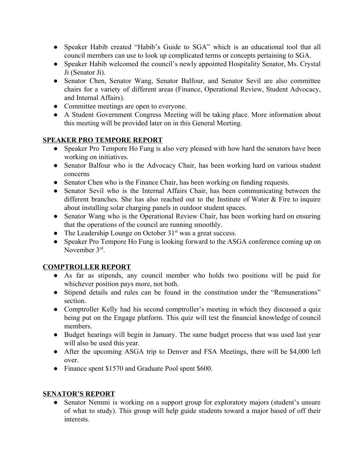- Speaker Habib created "Habib's Guide to SGA" which is an educational tool that all council members can use to look up complicated terms or concepts pertaining to SGA.
- Speaker Habib welcomed the council's newly appointed Hospitality Senator, Ms. Crystal Ji (Senator Ji).
- Senator Chen, Senator Wang, Senator Balfour, and Senator Sevil are also committee chairs for a variety of different areas (Finance, Operational Review, Student Advocacy, and Internal Affairs).
- Committee meetings are open to everyone.
- A Student Government Congress Meeting will be taking place. More information about this meeting will be provided later on in this General Meeting.

## **SPEAKER PRO TEMPORE REPORT**

- **●** Speaker Pro Tempore Ho Fung is also very pleased with how hard the senators have been working on initiatives.
- **●** Senator Balfour who is the Advocacy Chair, has been working hard on various student concerns
- **●** Senator Chen who is the Finance Chair, has been working on funding requests.
- **●** Senator Sevil who is the Internal Affairs Chair, has been communicating between the different branches. She has also reached out to the Institute of Water & Fire to inquire about installing solar charging panels in outdoor student spaces.
- **●** Senator Wang who is the Operational Review Chair, has been working hard on ensuring that the operations of the council are running smoothly.
- The Leadership Lounge on October 31<sup>st</sup> was a great success.
- **●** Speaker Pro Tempore Ho Fung is looking forward to the ASGA conference coming up on November 3<sup>rd</sup>.

## **COMPTROLLER REPORT**

- As far as stipends, any council member who holds two positions will be paid for whichever position pays more, not both.
- Stipend details and rules can be found in the constitution under the "Remunerations" section.
- Comptroller Kelly had his second comptroller's meeting in which they discussed a quiz being put on the Engage platform. This quiz will test the financial knowledge of council members.
- Budget hearings will begin in January. The same budget process that was used last year will also be used this year.
- After the upcoming ASGA trip to Denver and FSA Meetings, there will be \$4,000 left over.
- Finance spent \$1570 and Graduate Pool spent \$600.

# **SENATOR'S REPORT**

**●** Senator Nemmi is working on a support group for exploratory majors (student's unsure of what to study). This group will help guide students toward a major based of off their interests.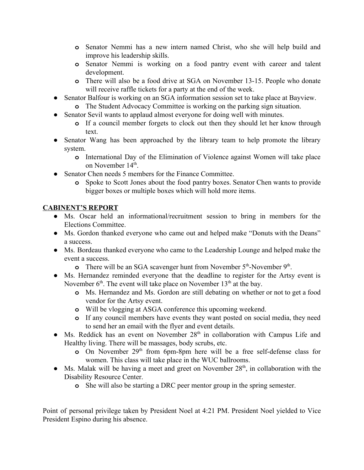- **o** Senator Nemmi has a new intern named Christ, who she will help build and improve his leadership skills.
- **o** Senator Nemmi is working on a food pantry event with career and talent development.
- **o** There will also be a food drive at SGA on November 13-15. People who donate will receive raffle tickets for a party at the end of the week.
- **●** Senator Balfour is working on an SGA information session set to take place at Bayview. **o** The Student Advocacy Committee is working on the parking sign situation.
- **●** Senator Sevil wants to applaud almost everyone for doing well with minutes.
	- **o** If a council member forgets to clock out then they should let her know through text.
- **●** Senator Wang has been approached by the library team to help promote the library system.
	- **o** International Day of the Elimination of Violence against Women will take place on November 14<sup>th</sup>.
- **●** Senator Chen needs 5 members for the Finance Committee.
	- **o** Spoke to Scott Jones about the food pantry boxes. Senator Chen wants to provide bigger boxes or multiple boxes which will hold more items.

# **CABINENT'S REPORT**

- **●** Ms. Oscar held an informational/recruitment session to bring in members for the Elections Committee.
- **●** Ms. Gordon thanked everyone who came out and helped make "Donuts with the Deans" a success.
- **●** Ms. Bordeau thanked everyone who came to the Leadership Lounge and helped make the event a success.
	- **o** There will be an SGA scavenger hunt from November 5<sup>th</sup>-November 9<sup>th</sup>.
- **●** Ms. Hernandez reminded everyone that the deadline to register for the Artsy event is November  $6<sup>th</sup>$ . The event will take place on November  $13<sup>th</sup>$  at the bay.
	- **o** Ms. Hernandez and Ms. Gordon are still debating on whether or not to get a food vendor for the Artsy event.
	- **o** Will be vlogging at ASGA conference this upcoming weekend.
	- **o** If any council members have events they want posted on social media, they need to send her an email with the flyer and event details.
- Ms. Reddick has an event on November 28<sup>th</sup> in collaboration with Campus Life and Healthy living. There will be massages, body scrubs, etc.
	- **o** On November 29<sup>th</sup> from 6pm-8pm here will be a free self-defense class for women. This class will take place in the WUC ballrooms.
- Ms. Malak will be having a meet and greet on November 28<sup>th</sup>, in collaboration with the Disability Resource Center.
	- **o** She will also be starting a DRC peer mentor group in the spring semester.

Point of personal privilege taken by President Noel at 4:21 PM. President Noel yielded to Vice President Espino during his absence.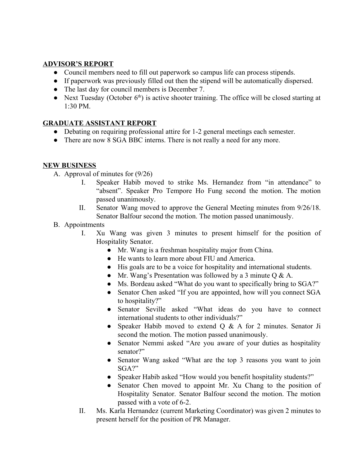## **ADVISOR'S REPORT**

- **●** Council members need to fill out paperwork so campus life can process stipends.
- **●** If paperwork was previously filled out then the stipend will be automatically dispersed.
- **●** The last day for council members is December 7.
- Next Tuesday (October 6<sup>th</sup>) is active shooter training. The office will be closed starting at 1:30 PM.

## **GRADUATE ASSISTANT REPORT**

- Debating on requiring professional attire for 1-2 general meetings each semester.
- There are now 8 SGA BBC interns. There is not really a need for any more.

## **NEW BUSINESS**

- A. Approval of minutes for (9/26)
	- I. Speaker Habib moved to strike Ms. Hernandez from "in attendance" to "absent". Speaker Pro Tempore Ho Fung second the motion. The motion passed unanimously.
	- II. Senator Wang moved to approve the General Meeting minutes from 9/26/18. Senator Balfour second the motion. The motion passed unanimously.
- B. Appointments
	- I. Xu Wang was given 3 minutes to present himself for the position of Hospitality Senator.
		- Mr. Wang is a freshman hospitality major from China.
		- He wants to learn more about FIU and America.
		- His goals are to be a voice for hospitality and international students.
		- Mr. Wang's Presentation was followed by a 3 minute  $Q \& A$ .
		- Ms. Bordeau asked "What do you want to specifically bring to SGA?"
		- Senator Chen asked "If you are appointed, how will you connect SGA to hospitality?"
		- Senator Seville asked "What ideas do you have to connect international students to other individuals?"
		- Speaker Habib moved to extend Q & A for 2 minutes. Senator Ji second the motion. The motion passed unanimously.
		- Senator Nemmi asked "Are you aware of your duties as hospitality senator?"
		- Senator Wang asked "What are the top 3 reasons you want to join SGA?"
		- Speaker Habib asked "How would you benefit hospitality students?"
		- Senator Chen moved to appoint Mr. Xu Chang to the position of Hospitality Senator. Senator Balfour second the motion. The motion passed with a vote of 6-2.
	- II. Ms. Karla Hernandez (current Marketing Coordinator) was given 2 minutes to present herself for the position of PR Manager.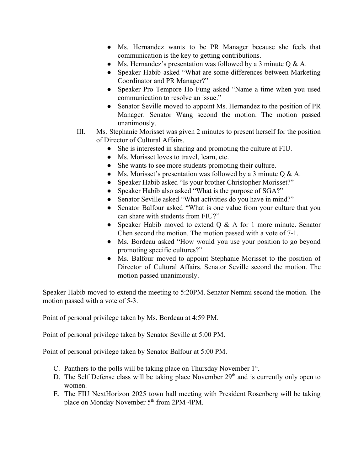- Ms. Hernandez wants to be PR Manager because she feels that communication is the key to getting contributions.
- Ms. Hernandez's presentation was followed by a 3 minute  $Q \& A$ .
- Speaker Habib asked "What are some differences between Marketing Coordinator and PR Manager?"
- Speaker Pro Tempore Ho Fung asked "Name a time when you used communication to resolve an issue."
- Senator Seville moved to appoint Ms. Hernandez to the position of PR Manager. Senator Wang second the motion. The motion passed unanimously.
- III. Ms. Stephanie Morisset was given 2 minutes to present herself for the position of Director of Cultural Affairs.
	- She is interested in sharing and promoting the culture at FIU.
	- Ms. Morisset loves to travel, learn, etc.
	- She wants to see more students promoting their culture.
	- Ms. Morisset's presentation was followed by a 3 minute  $Q & A$ .
	- Speaker Habib asked "Is your brother Christopher Morisset?"
	- Speaker Habib also asked "What is the purpose of SGA?"
	- Senator Seville asked "What activities do you have in mind?"
	- Senator Balfour asked "What is one value from your culture that you can share with students from FIU?"
	- Speaker Habib moved to extend  $Q & A$  for 1 more minute. Senator Chen second the motion. The motion passed with a vote of 7-1.
	- Ms. Bordeau asked "How would you use your position to go beyond promoting specific cultures?"
	- Ms. Balfour moved to appoint Stephanie Morisset to the position of Director of Cultural Affairs. Senator Seville second the motion. The motion passed unanimously.

Speaker Habib moved to extend the meeting to 5:20PM. Senator Nemmi second the motion. The motion passed with a vote of 5-3.

Point of personal privilege taken by Ms. Bordeau at 4:59 PM.

Point of personal privilege taken by Senator Seville at 5:00 PM.

Point of personal privilege taken by Senator Balfour at 5:00 PM.

- C. Panthers to the polls will be taking place on Thursday November  $1<sup>st</sup>$ .
- D. The Self Defense class will be taking place November  $29<sup>th</sup>$  and is currently only open to women.
- E. The FIU NextHorizon 2025 town hall meeting with President Rosenberg will be taking place on Monday November 5<sup>th</sup> from 2PM-4PM.